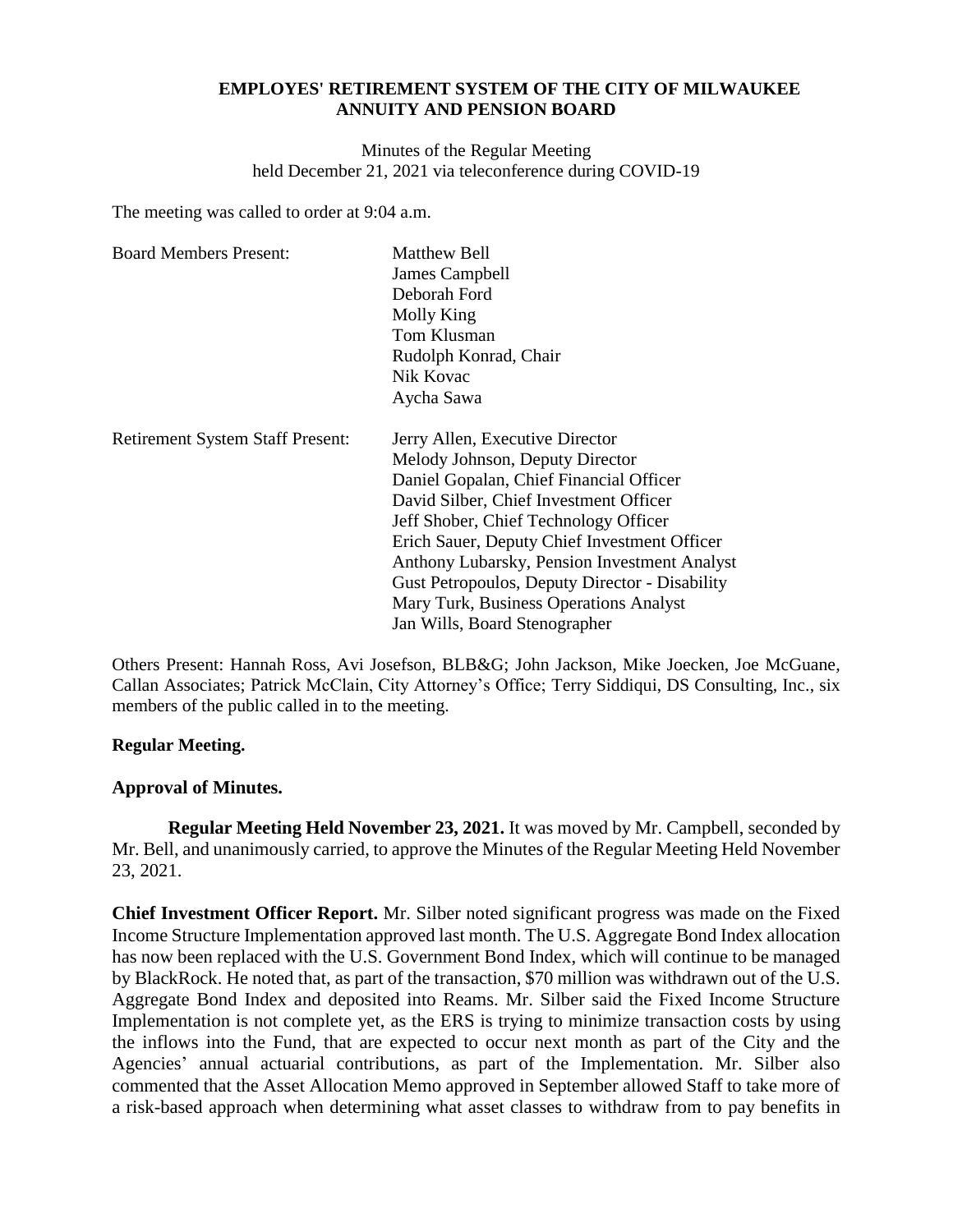### **EMPLOYES' RETIREMENT SYSTEM OF THE CITY OF MILWAUKEE ANNUITY AND PENSION BOARD**

Minutes of the Regular Meeting held December 21, 2021 via teleconference during COVID-19

The meeting was called to order at 9:04 a.m.

| <b>Board Members Present:</b>           | <b>Matthew Bell</b><br>James Campbell<br>Deborah Ford<br>Molly King<br>Tom Klusman<br>Rudolph Konrad, Chair<br>Nik Kovac<br>Aycha Sawa                                                                                                                                                                                                                                                                                               |
|-----------------------------------------|--------------------------------------------------------------------------------------------------------------------------------------------------------------------------------------------------------------------------------------------------------------------------------------------------------------------------------------------------------------------------------------------------------------------------------------|
| <b>Retirement System Staff Present:</b> | Jerry Allen, Executive Director<br>Melody Johnson, Deputy Director<br>Daniel Gopalan, Chief Financial Officer<br>David Silber, Chief Investment Officer<br>Jeff Shober, Chief Technology Officer<br>Erich Sauer, Deputy Chief Investment Officer<br>Anthony Lubarsky, Pension Investment Analyst<br><b>Gust Petropoulos, Deputy Director - Disability</b><br>Mary Turk, Business Operations Analyst<br>Jan Wills, Board Stenographer |

Others Present: Hannah Ross, Avi Josefson, BLB&G; John Jackson, Mike Joecken, Joe McGuane, Callan Associates; Patrick McClain, City Attorney's Office; Terry Siddiqui, DS Consulting, Inc., six members of the public called in to the meeting.

# **Regular Meeting.**

# **Approval of Minutes.**

**Regular Meeting Held November 23, 2021.** It was moved by Mr. Campbell, seconded by Mr. Bell, and unanimously carried, to approve the Minutes of the Regular Meeting Held November 23, 2021.

**Chief Investment Officer Report.** Mr. Silber noted significant progress was made on the Fixed Income Structure Implementation approved last month. The U.S. Aggregate Bond Index allocation has now been replaced with the U.S. Government Bond Index, which will continue to be managed by BlackRock. He noted that, as part of the transaction, \$70 million was withdrawn out of the U.S. Aggregate Bond Index and deposited into Reams. Mr. Silber said the Fixed Income Structure Implementation is not complete yet, as the ERS is trying to minimize transaction costs by using the inflows into the Fund, that are expected to occur next month as part of the City and the Agencies' annual actuarial contributions, as part of the Implementation. Mr. Silber also commented that the Asset Allocation Memo approved in September allowed Staff to take more of a risk-based approach when determining what asset classes to withdraw from to pay benefits in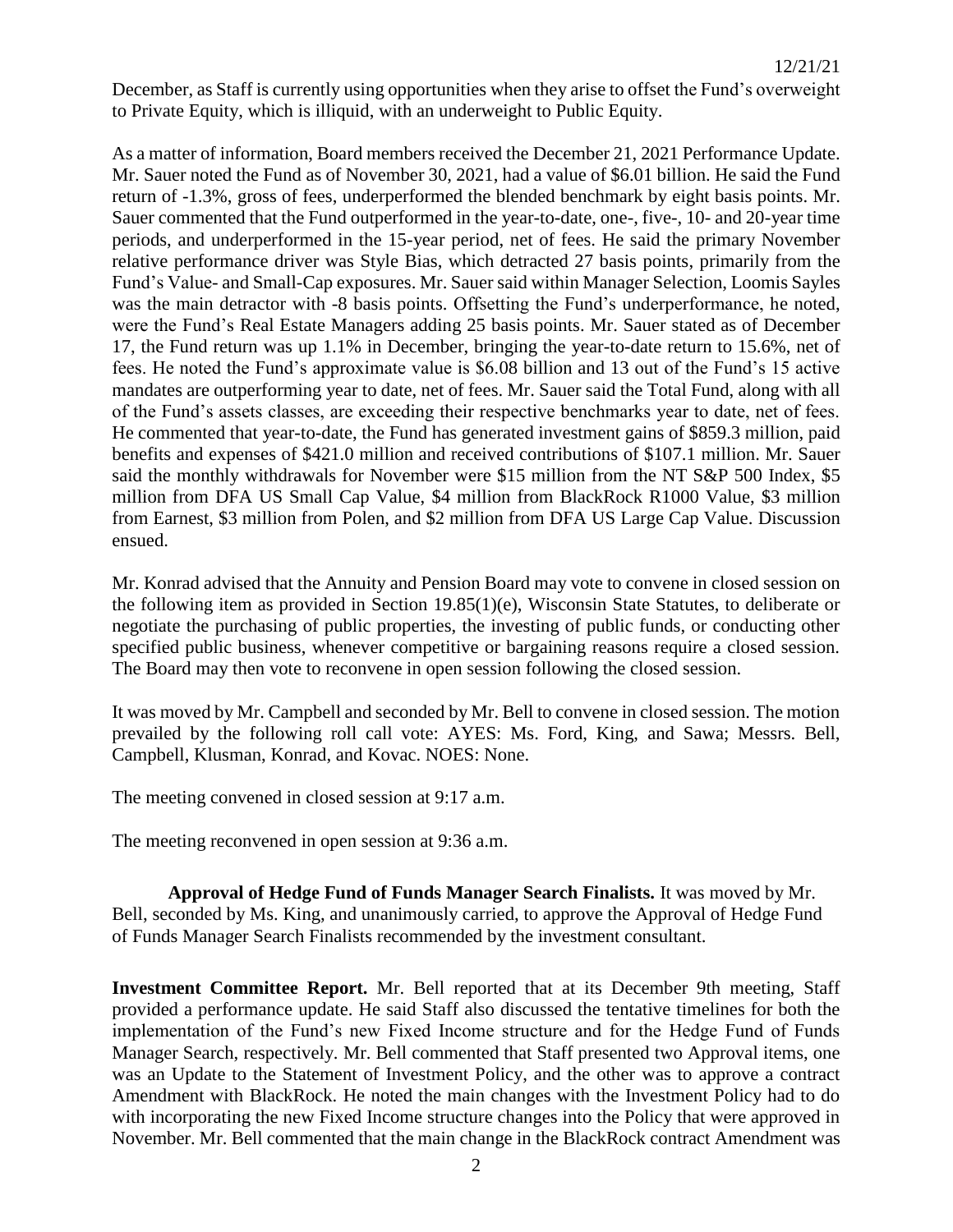December, as Staff is currently using opportunities when they arise to offset the Fund's overweight to Private Equity, which is illiquid, with an underweight to Public Equity.

As a matter of information, Board members received the December 21, 2021 Performance Update. Mr. Sauer noted the Fund as of November 30, 2021, had a value of \$6.01 billion. He said the Fund return of -1.3%, gross of fees, underperformed the blended benchmark by eight basis points. Mr. Sauer commented that the Fund outperformed in the year-to-date, one-, five-, 10- and 20-year time periods, and underperformed in the 15-year period, net of fees. He said the primary November relative performance driver was Style Bias, which detracted 27 basis points, primarily from the Fund's Value- and Small-Cap exposures. Mr. Sauer said within Manager Selection, Loomis Sayles was the main detractor with -8 basis points. Offsetting the Fund's underperformance, he noted, were the Fund's Real Estate Managers adding 25 basis points. Mr. Sauer stated as of December 17, the Fund return was up 1.1% in December, bringing the year-to-date return to 15.6%, net of fees. He noted the Fund's approximate value is \$6.08 billion and 13 out of the Fund's 15 active mandates are outperforming year to date, net of fees. Mr. Sauer said the Total Fund, along with all of the Fund's assets classes, are exceeding their respective benchmarks year to date, net of fees. He commented that year-to-date, the Fund has generated investment gains of \$859.3 million, paid benefits and expenses of \$421.0 million and received contributions of \$107.1 million. Mr. Sauer said the monthly withdrawals for November were \$15 million from the NT S&P 500 Index, \$5 million from DFA US Small Cap Value, \$4 million from BlackRock R1000 Value, \$3 million from Earnest, \$3 million from Polen, and \$2 million from DFA US Large Cap Value. Discussion ensued.

Mr. Konrad advised that the Annuity and Pension Board may vote to convene in closed session on the following item as provided in Section 19.85(1)(e), Wisconsin State Statutes, to deliberate or negotiate the purchasing of public properties, the investing of public funds, or conducting other specified public business, whenever competitive or bargaining reasons require a closed session. The Board may then vote to reconvene in open session following the closed session.

It was moved by Mr. Campbell and seconded by Mr. Bell to convene in closed session. The motion prevailed by the following roll call vote: AYES: Ms. Ford, King, and Sawa; Messrs. Bell, Campbell, Klusman, Konrad, and Kovac. NOES: None.

The meeting convened in closed session at 9:17 a.m.

The meeting reconvened in open session at 9:36 a.m.

**Approval of Hedge Fund of Funds Manager Search Finalists.** It was moved by Mr. Bell, seconded by Ms. King, and unanimously carried, to approve the Approval of Hedge Fund of Funds Manager Search Finalists recommended by the investment consultant.

**Investment Committee Report.** Mr. Bell reported that at its December 9th meeting, Staff provided a performance update. He said Staff also discussed the tentative timelines for both the implementation of the Fund's new Fixed Income structure and for the Hedge Fund of Funds Manager Search, respectively. Mr. Bell commented that Staff presented two Approval items, one was an Update to the Statement of Investment Policy, and the other was to approve a contract Amendment with BlackRock. He noted the main changes with the Investment Policy had to do with incorporating the new Fixed Income structure changes into the Policy that were approved in November. Mr. Bell commented that the main change in the BlackRock contract Amendment was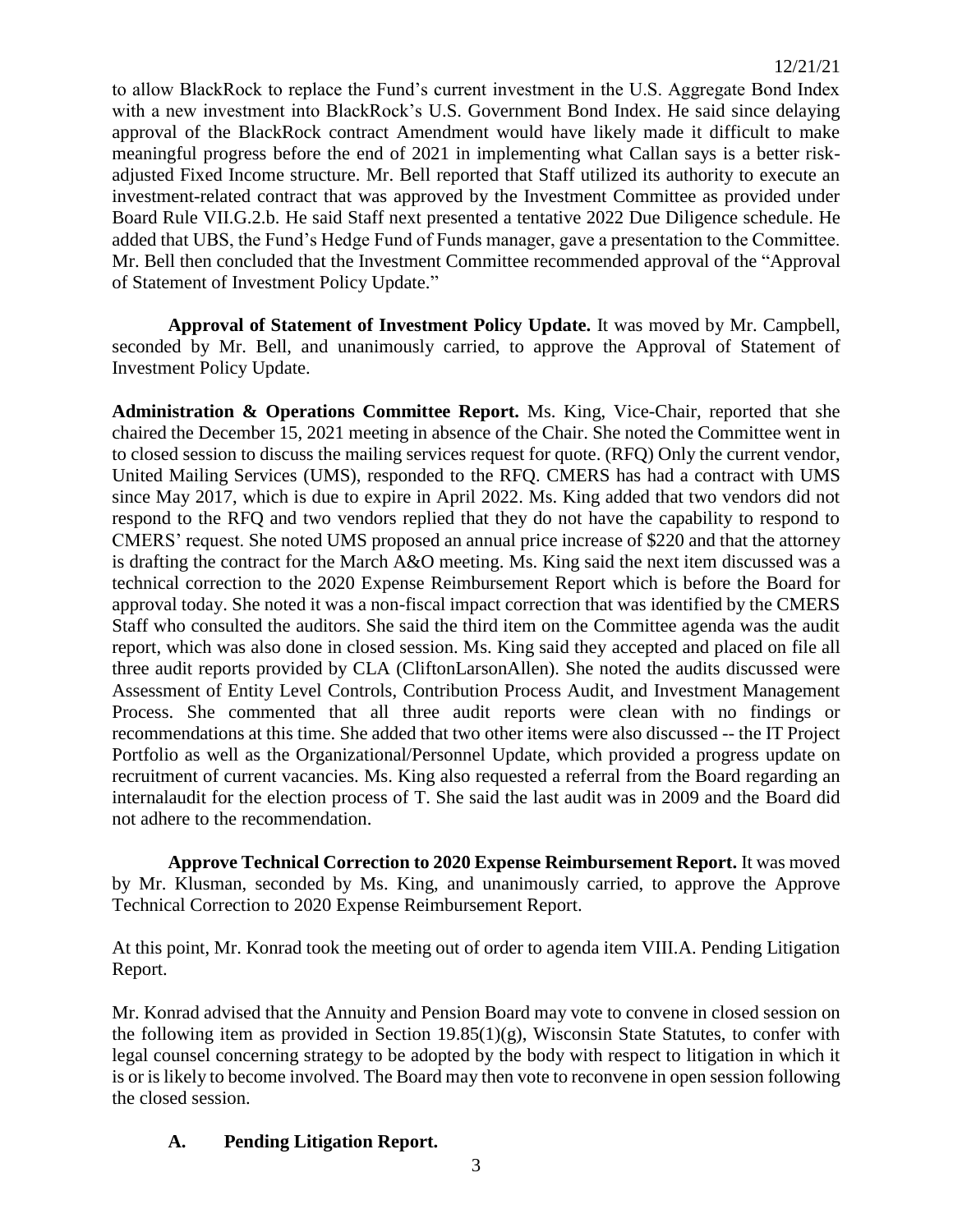to allow BlackRock to replace the Fund's current investment in the U.S. Aggregate Bond Index with a new investment into BlackRock's U.S. Government Bond Index. He said since delaying approval of the BlackRock contract Amendment would have likely made it difficult to make meaningful progress before the end of 2021 in implementing what Callan says is a better riskadjusted Fixed Income structure. Mr. Bell reported that Staff utilized its authority to execute an investment-related contract that was approved by the Investment Committee as provided under Board Rule VII.G.2.b. He said Staff next presented a tentative 2022 Due Diligence schedule. He added that UBS, the Fund's Hedge Fund of Funds manager, gave a presentation to the Committee. Mr. Bell then concluded that the Investment Committee recommended approval of the "Approval of Statement of Investment Policy Update."

**Approval of Statement of Investment Policy Update.** It was moved by Mr. Campbell, seconded by Mr. Bell, and unanimously carried, to approve the Approval of Statement of Investment Policy Update.

**Administration & Operations Committee Report.** Ms. King, Vice-Chair, reported that she chaired the December 15, 2021 meeting in absence of the Chair. She noted the Committee went in to closed session to discuss the mailing services request for quote. (RFQ) Only the current vendor, United Mailing Services (UMS), responded to the RFQ. CMERS has had a contract with UMS since May 2017, which is due to expire in April 2022. Ms. King added that two vendors did not respond to the RFQ and two vendors replied that they do not have the capability to respond to CMERS' request. She noted UMS proposed an annual price increase of \$220 and that the attorney is drafting the contract for the March A&O meeting. Ms. King said the next item discussed was a technical correction to the 2020 Expense Reimbursement Report which is before the Board for approval today. She noted it was a non-fiscal impact correction that was identified by the CMERS Staff who consulted the auditors. She said the third item on the Committee agenda was the audit report, which was also done in closed session. Ms. King said they accepted and placed on file all three audit reports provided by CLA (CliftonLarsonAllen). She noted the audits discussed were Assessment of Entity Level Controls, Contribution Process Audit, and Investment Management Process. She commented that all three audit reports were clean with no findings or recommendations at this time. She added that two other items were also discussed -- the IT Project Portfolio as well as the Organizational/Personnel Update, which provided a progress update on recruitment of current vacancies. Ms. King also requested a referral from the Board regarding an internalaudit for the election process of T. She said the last audit was in 2009 and the Board did not adhere to the recommendation.

**Approve Technical Correction to 2020 Expense Reimbursement Report.** It was moved by Mr. Klusman, seconded by Ms. King, and unanimously carried, to approve the Approve Technical Correction to 2020 Expense Reimbursement Report.

At this point, Mr. Konrad took the meeting out of order to agenda item VIII.A. Pending Litigation Report.

Mr. Konrad advised that the Annuity and Pension Board may vote to convene in closed session on the following item as provided in Section 19.85(1)(g), Wisconsin State Statutes, to confer with legal counsel concerning strategy to be adopted by the body with respect to litigation in which it is or is likely to become involved. The Board may then vote to reconvene in open session following the closed session.

# **A. Pending Litigation Report.**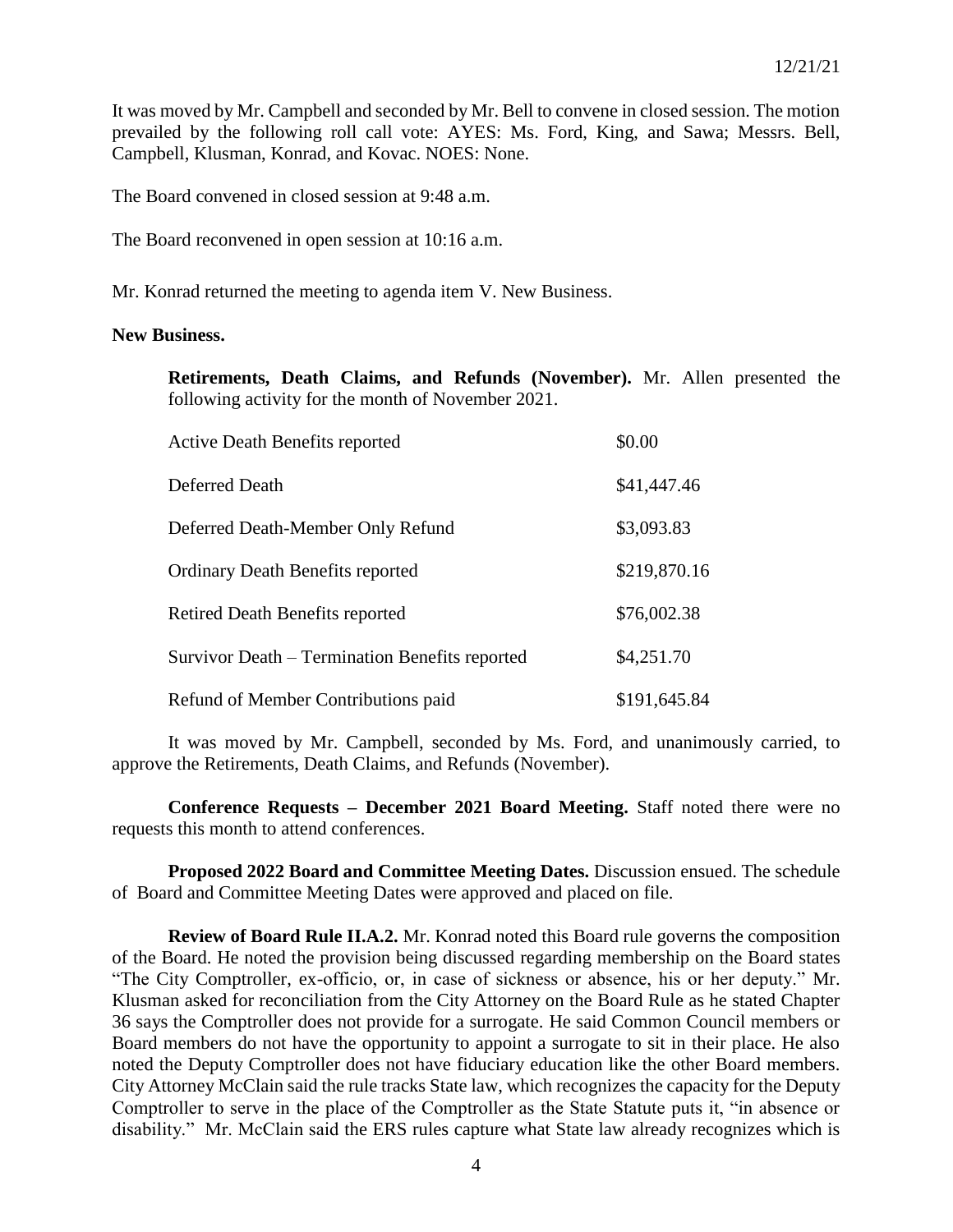It was moved by Mr. Campbell and seconded by Mr. Bell to convene in closed session. The motion prevailed by the following roll call vote: AYES: Ms. Ford, King, and Sawa; Messrs. Bell, Campbell, Klusman, Konrad, and Kovac. NOES: None.

The Board convened in closed session at 9:48 a.m.

The Board reconvened in open session at 10:16 a.m.

Mr. Konrad returned the meeting to agenda item V. New Business.

#### **New Business.**

**Retirements, Death Claims, and Refunds (November).** Mr. Allen presented the following activity for the month of November 2021.

| <b>Active Death Benefits reported</b>          | \$0.00       |
|------------------------------------------------|--------------|
| Deferred Death                                 | \$41,447.46  |
| Deferred Death-Member Only Refund              | \$3,093.83   |
| <b>Ordinary Death Benefits reported</b>        | \$219,870.16 |
| <b>Retired Death Benefits reported</b>         | \$76,002.38  |
| Survivor Death – Termination Benefits reported | \$4,251.70   |
| Refund of Member Contributions paid            | \$191,645.84 |

It was moved by Mr. Campbell, seconded by Ms. Ford, and unanimously carried, to approve the Retirements, Death Claims, and Refunds (November).

**Conference Requests – December 2021 Board Meeting.** Staff noted there were no requests this month to attend conferences.

**Proposed 2022 Board and Committee Meeting Dates.** Discussion ensued. The schedule of Board and Committee Meeting Dates were approved and placed on file.

**Review of Board Rule II.A.2.** Mr. Konrad noted this Board rule governs the composition of the Board. He noted the provision being discussed regarding membership on the Board states "The City Comptroller, ex-officio, or, in case of sickness or absence, his or her deputy." Mr. Klusman asked for reconciliation from the City Attorney on the Board Rule as he stated Chapter 36 says the Comptroller does not provide for a surrogate. He said Common Council members or Board members do not have the opportunity to appoint a surrogate to sit in their place. He also noted the Deputy Comptroller does not have fiduciary education like the other Board members. City Attorney McClain said the rule tracks State law, which recognizes the capacity for the Deputy Comptroller to serve in the place of the Comptroller as the State Statute puts it, "in absence or disability." Mr. McClain said the ERS rules capture what State law already recognizes which is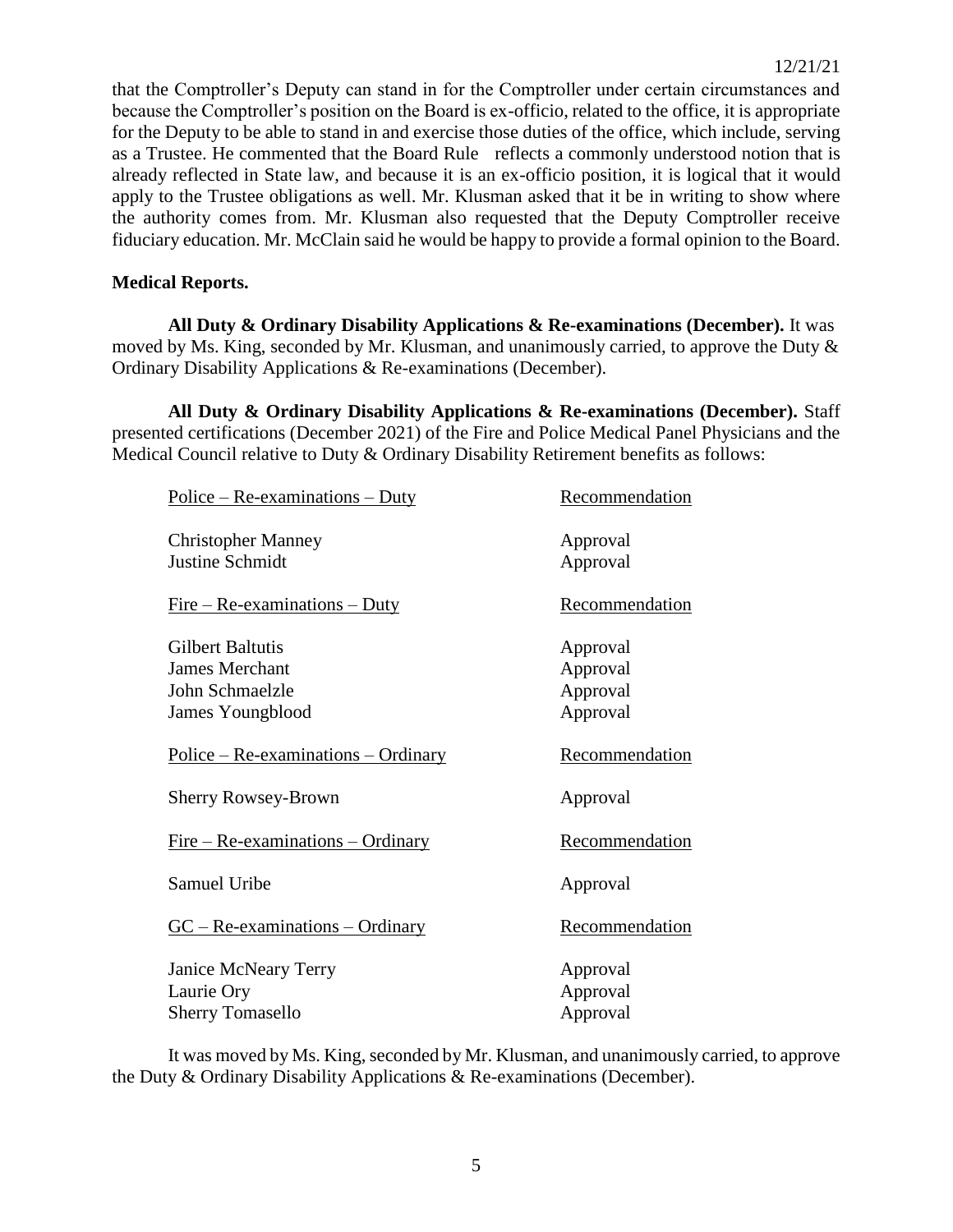that the Comptroller's Deputy can stand in for the Comptroller under certain circumstances and because the Comptroller's position on the Board is ex-officio, related to the office, it is appropriate for the Deputy to be able to stand in and exercise those duties of the office, which include, serving as a Trustee. He commented that the Board Rule reflects a commonly understood notion that is already reflected in State law, and because it is an ex-officio position, it is logical that it would apply to the Trustee obligations as well. Mr. Klusman asked that it be in writing to show where the authority comes from. Mr. Klusman also requested that the Deputy Comptroller receive fiduciary education. Mr. McClain said he would be happy to provide a formal opinion to the Board.

# **Medical Reports.**

**All Duty & Ordinary Disability Applications & Re-examinations (December).** It was moved by Ms. King, seconded by Mr. Klusman, and unanimously carried, to approve the Duty & Ordinary Disability Applications & Re-examinations (December).

**All Duty & Ordinary Disability Applications & Re-examinations (December).** Staff presented certifications (December 2021) of the Fire and Police Medical Panel Physicians and the Medical Council relative to Duty & Ordinary Disability Retirement benefits as follows:

| Recommendation |
|----------------|
| Approval       |
| Approval       |
| Recommendation |
| Approval       |
| Approval       |
| Approval       |
| Approval       |
| Recommendation |
| Approval       |
| Recommendation |
| Approval       |
| Recommendation |
| Approval       |
| Approval       |
| Approval       |
|                |

It was moved by Ms. King, seconded by Mr. Klusman, and unanimously carried, to approve the Duty & Ordinary Disability Applications & Re-examinations (December).